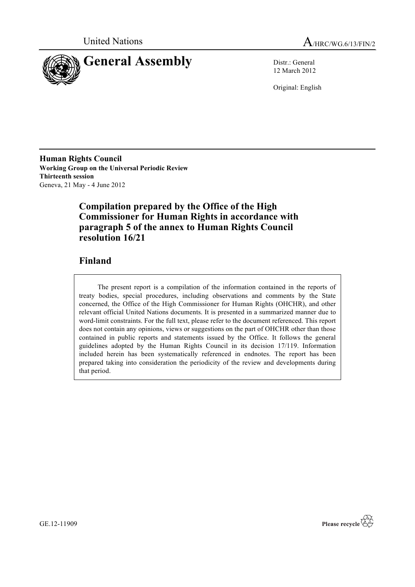



12 March 2012

Original: English

**Human Rights Council Working Group on the Universal Periodic Review Thirteenth session** Geneva, 21 May - 4 June 2012

# **Compilation prepared by the Office of the High Commissioner for Human Rights in accordance with paragraph 5 of the annex to Human Rights Council resolution 16/21**

# **Finland**

The present report is a compilation of the information contained in the reports of treaty bodies, special procedures, including observations and comments by the State concerned, the Office of the High Commissioner for Human Rights (OHCHR), and other relevant official United Nations documents. It is presented in a summarized manner due to word-limit constraints. For the full text, please refer to the document referenced. This report does not contain any opinions, views or suggestions on the part of OHCHR other than those contained in public reports and statements issued by the Office. It follows the general guidelines adopted by the Human Rights Council in its decision 17/119. Information included herein has been systematically referenced in endnotes. The report has been prepared taking into consideration the periodicity of the review and developments during that period.



GE.12-11909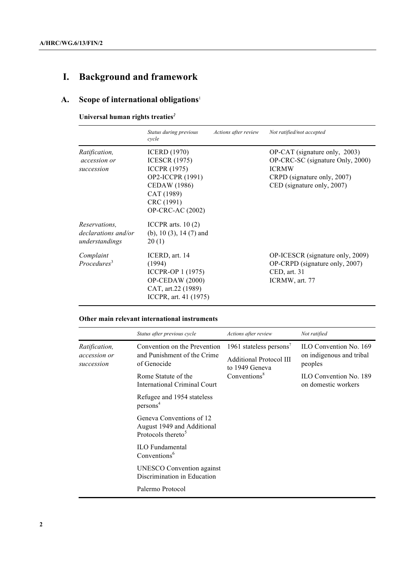# **I. Background and framework**

# **A. Scope of international obligations**<sup>1</sup>

**Universal human rights treaties***<sup>2</sup>*

|                                                                      | Status during previous<br>cycle                                                                                                                                      | Actions after review | Not ratified/not accepted                                                                                                                      |
|----------------------------------------------------------------------|----------------------------------------------------------------------------------------------------------------------------------------------------------------------|----------------------|------------------------------------------------------------------------------------------------------------------------------------------------|
| <i>Ratification,</i><br>accession or<br>succession                   | <b>ICERD</b> (1970)<br><b>ICESCR (1975)</b><br><b>ICCPR</b> (1975)<br>OP2-ICCPR (1991)<br><b>CEDAW</b> (1986)<br>CAT (1989)<br>CRC (1991)<br><b>OP-CRC-AC (2002)</b> |                      | OP-CAT (signature only, 2003)<br>OP-CRC-SC (signature Only, 2000)<br><b>ICRMW</b><br>CRPD (signature only, 2007)<br>CED (signature only, 2007) |
| <i>Reservations.</i><br><i>declarations and/or</i><br>understandings | ICCPR arts. $10(2)$<br>(b), 10 $(3)$ , 14 $(7)$ and<br>20(1)                                                                                                         |                      |                                                                                                                                                |
| Complaint<br>Proceedures <sup>3</sup>                                | ICERD, art. 14<br>(1994)<br>ICCPR-OP 1 (1975)<br>$OP$ -CEDAW $(2000)$<br>CAT, art.22 (1989)<br>ICCPR, art. 41 (1975)                                                 |                      | OP-ICESCR (signature only, 2009)<br>OP-CRPD (signature only, 2007)<br>$\mathsf{CED}, \mathsf{art}.$ 31<br>ICRMW, art. 77                       |

# **Other main relevant international instruments**

|                                                    | Status after previous cycle                                                              | Actions after review                                                                                                | Not ratified                                                  |
|----------------------------------------------------|------------------------------------------------------------------------------------------|---------------------------------------------------------------------------------------------------------------------|---------------------------------------------------------------|
| <i>Ratification,</i><br>accession or<br>succession | Convention on the Prevention<br>and Punishment of the Crime<br>of Genocide               | 1961 stateless persons <sup>7</sup><br><b>Additional Protocol III</b><br>to 1949 Geneva<br>Conventions <sup>8</sup> | ILO Convention No. 169<br>on indigenous and tribal<br>peoples |
|                                                    | Rome Statute of the<br><b>International Criminal Court</b>                               |                                                                                                                     | ILO Convention No. 189<br>on domestic workers                 |
|                                                    | Refugee and 1954 stateless<br>persons <sup>4</sup>                                       |                                                                                                                     |                                                               |
|                                                    | Geneva Conventions of 12<br>August 1949 and Additional<br>Protocols thereto <sup>5</sup> |                                                                                                                     |                                                               |
|                                                    | <b>ILO</b> Fundamental<br>Conventions <sup>6</sup>                                       |                                                                                                                     |                                                               |
|                                                    | <b>UNESCO</b> Convention against<br>Discrimination in Education                          |                                                                                                                     |                                                               |
|                                                    | Palermo Protocol                                                                         |                                                                                                                     |                                                               |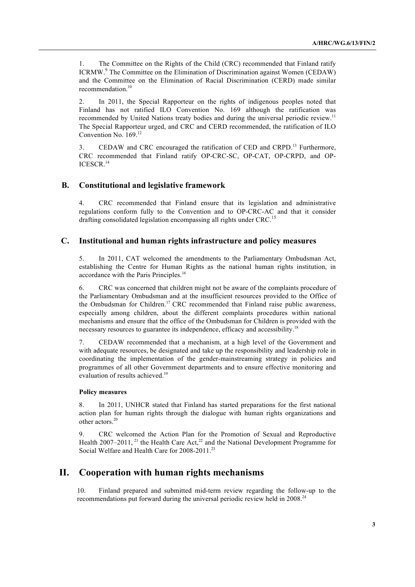1. The Committee on the Rights of the Child (CRC) recommended that Finland ratify ICRMW.<sup>9</sup> The Committee on the Elimination of Discrimination against Women (CEDAW) and the Committee on the Elimination of Racial Discrimination (CERD) made similar recommendation. 10

2. In 2011, the Special Rapporteur on the rights of indigenous peoples noted that Finland has not ratified ILO Convention No. 169 although the ratification was recommended by United Nations treaty bodies and during the universal periodic review.<sup>11</sup> The Special Rapporteur urged, and CRC and CERD recommended, the ratification of ILO Convention No. 169.<sup>12</sup>

3. CEDAW and CRC encouraged the ratification of CED and CRPD.<sup>13</sup> Furthermore, CRC recommended that Finland ratify OP-CRC-SC, OP-CAT, OP-CRPD, and OP-ICESCR.<sup>14</sup>

#### **B. Constitutional and legislative framework**

4. CRC recommended that Finland ensure that its legislation and administrative regulations conform fully to the Convention and to OP-CRC-AC and that it consider drafting consolidated legislation encompassing all rights under  $CRC<sup>15</sup>$ 

#### **C. Institutional and human rights infrastructure and policy measures**

5. In 2011, CAT welcomed the amendments to the Parliamentary Ombudsman Act, establishing the Centre for Human Rights as the national human rights institution, in accordance with the Paris Principles.<sup>16</sup>

6. CRC was concerned that children might not be aware of the complaints procedure of the Parliamentary Ombudsman and at the insufficient resources provided to the Office of the Ombudsman for Children.<sup>17</sup> CRC recommended that Finland raise public awareness, especially among children, about the different complaints procedures within national mechanisms and ensure that the office of the Ombudsman for Children is provided with the necessary resources to guarantee its independence, efficacy and accessibility.<sup>18</sup>

7. CEDAW recommended that a mechanism, at a high level of the Government and with adequate resources, be designated and take up the responsibility and leadership role in coordinating the implementation of the gender-mainstreaming strategy in policies and programmes of all other Government departments and to ensure effective monitoring and evaluation of results achieved.<sup>19</sup>

#### **Policy measures**

8. In 2011, UNHCR stated that Finland has started preparations for the first national action plan for human rights through the dialogue with human rights organizations and other actors. 20

9. CRC welcomed the Action Plan for the Promotion of Sexual and Reproductive Health  $2007-2011$ , <sup>21</sup> the Health Care Act,<sup>22</sup> and the National Development Programme for Social Welfare and Health Care for 2008-2011.<sup>23</sup>

# **II. Cooperation with human rights mechanisms**

10. Finland prepared and submitted mid-term review regarding the follow-up to the recommendations put forward during the universal periodic review held in 2008.<sup>24</sup>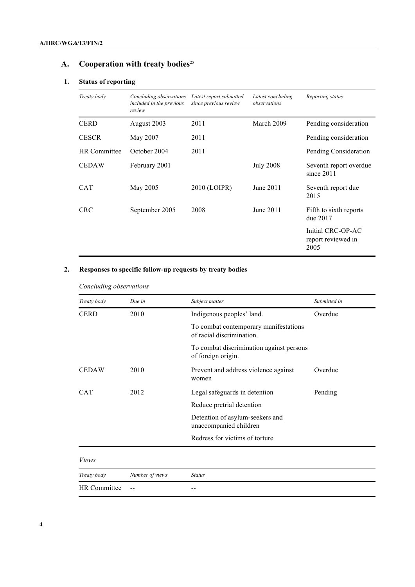# **A. Cooperation with treaty bodies**<sup>25</sup>

# **1. Status of reporting**

| Treaty body         | Concluding observations<br>included in the previous<br>review | Latest report submitted<br>since previous review | Latest concluding<br>observations | Reporting status                                |
|---------------------|---------------------------------------------------------------|--------------------------------------------------|-----------------------------------|-------------------------------------------------|
| <b>CERD</b>         | August 2003                                                   | 2011                                             | March 2009                        | Pending consideration                           |
| <b>CESCR</b>        | May 2007                                                      | 2011                                             |                                   | Pending consideration                           |
| <b>HR</b> Committee | October 2004                                                  | 2011                                             |                                   | Pending Consideration                           |
| <b>CEDAW</b>        | February 2001                                                 |                                                  | <b>July 2008</b>                  | Seventh report overdue<br>since $2011$          |
| <b>CAT</b>          | May 2005                                                      | 2010 (LOIPR)                                     | June 2011                         | Seventh report due<br>2015                      |
| <b>CRC</b>          | September 2005                                                | 2008                                             | June 2011                         | Fifth to sixth reports<br>due 2017              |
|                     |                                                               |                                                  |                                   | Initial CRC-OP-AC<br>report reviewed in<br>2005 |

# **2. Responses to specific follow-up requests by treaty bodies**

#### *Concluding observations*

| Treaty body         | Due in          | Subject matter                                                     | Submitted in |
|---------------------|-----------------|--------------------------------------------------------------------|--------------|
| <b>CERD</b>         | 2010            | Indigenous peoples' land.                                          | Overdue      |
|                     |                 | To combat contemporary manifestations<br>of racial discrimination. |              |
|                     |                 | To combat discrimination against persons<br>of foreign origin.     |              |
| <b>CEDAW</b>        | 2010            | Prevent and address violence against<br>women                      | Overdue      |
| <b>CAT</b>          | 2012            | Legal safeguards in detention                                      | Pending      |
|                     |                 | Reduce pretrial detention                                          |              |
|                     |                 | Detention of asylum-seekers and<br>unaccompanied children          |              |
|                     |                 | Redress for victims of torture                                     |              |
| <i>Views</i>        |                 |                                                                    |              |
| Treaty body         | Number of views | <b>Status</b>                                                      |              |
| <b>HR</b> Committee |                 | --                                                                 |              |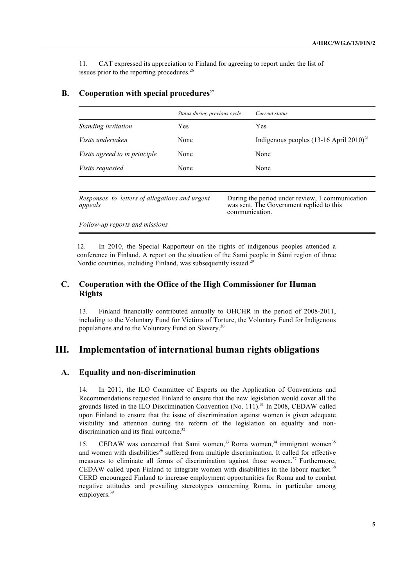11. CAT expressed its appreciation to Finland for agreeing to report under the list of issues prior to the reporting procedures.<sup>26</sup>

# **B.** Cooperation with special procedures<sup>27</sup>

|                                      | Status during previous cycle | Current status                                 |
|--------------------------------------|------------------------------|------------------------------------------------|
| Standing invitation                  | Yes                          | Yes                                            |
| Visits undertaken                    | None                         | Indigenous peoples $(13-16$ April $2010)^{28}$ |
| <i>Visits agreed to in principle</i> | None                         | None                                           |
| <i>Visits requested</i>              | None                         | None                                           |

*Responses to letters of allegations and urgent appeals*

During the period under review, 1 communication was sent. The Government replied to this communication.

*Follow-up reports and missions*

12. In 2010, the Special Rapporteur on the rights of indigenous peoples attended a conference in Finland. A report on the situation of the Sami people in Sámi region of three Nordic countries, including Finland, was subsequently issued.<sup>29</sup>

# **C. Cooperation with the Office of the High Commissioner for Human Rights**

13. Finland financially contributed annually to OHCHR in the period of 2008-2011, including to the Voluntary Fund for Victims of Torture, the Voluntary Fund for Indigenous populations and to the Voluntary Fund on Slavery.<sup>30</sup>

# **III. Implementation of international human rights obligations**

#### **A. Equality and non-discrimination**

14. In 2011, the ILO Committee of Experts on the Application of Conventions and Recommendations requested Finland to ensure that the new legislation would cover all the grounds listed in the ILO Discrimination Convention (No. 111).<sup>31</sup> In 2008, CEDAW called upon Finland to ensure that the issue of discrimination against women is given adequate visibility and attention during the reform of the legislation on equality and nondiscrimination and its final outcome.<sup>32</sup>

15. CEDAW was concerned that Sami women,<sup>33</sup> Roma women,<sup>34</sup> immigrant women<sup>35</sup> and women with disabilities<sup>36</sup> suffered from multiple discrimination. It called for effective measures to eliminate all forms of discrimination against those women. <sup>37</sup> Furthermore, CEDAW called upon Finland to integrate women with disabilities in the labour market.<sup>38</sup> CERD encouraged Finland to increase employment opportunities for Roma and to combat negative attitudes and prevailing stereotypes concerning Roma, in particular among employers.<sup>39</sup>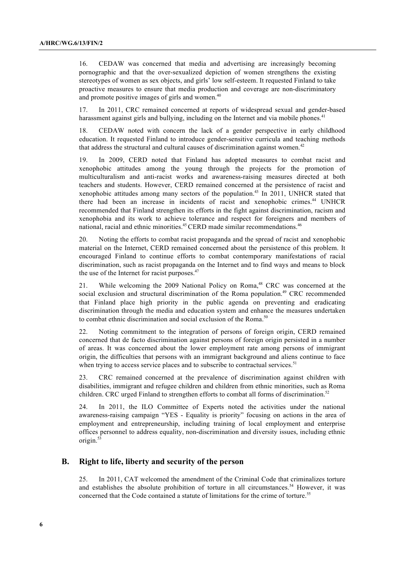16. CEDAW was concerned that media and advertising are increasingly becoming pornographic and that the over-sexualized depiction of women strengthens the existing stereotypes of women as sex objects, and girls' low self-esteem. It requested Finland to take proactive measures to ensure that media production and coverage are non-discriminatory and promote positive images of girls and women.<sup>40</sup>

17. In 2011, CRC remained concerned at reports of widespread sexual and gender-based harassment against girls and bullying, including on the Internet and via mobile phones.<sup>41</sup>

18. CEDAW noted with concern the lack of a gender perspective in early childhood education. It requested Finland to introduce gender-sensitive curricula and teaching methods that address the structural and cultural causes of discrimination against women.<sup>42</sup>

19. In 2009, CERD noted that Finland has adopted measures to combat racist and xenophobic attitudes among the young through the projects for the promotion of multiculturalism and anti-racist works and awareness-raising measures directed at both teachers and students. However, CERD remained concerned at the persistence of racist and xenophobic attitudes among many sectors of the population.<sup>43</sup> In 2011, UNHCR stated that there had been an increase in incidents of racist and xenophobic crimes.<sup>44</sup> UNHCR recommended that Finland strengthen its efforts in the fight against discrimination, racism and xenophobia and its work to achieve tolerance and respect for foreigners and members of national, racial and ethnic minorities.<sup>45</sup> CERD made similar recommendations.<sup>46</sup>

20. Noting the efforts to combat racist propaganda and the spread of racist and xenophobic material on the Internet, CERD remained concerned about the persistence of this problem. It encouraged Finland to continue efforts to combat contemporary manifestations of racial discrimination, such as racist propaganda on the Internet and to find ways and means to block the use of the Internet for racist purposes.<sup>47</sup>

21. While welcoming the 2009 National Policy on Roma, <sup>48</sup> CRC was concerned at the social exclusion and structural discrimination of the Roma population.<sup>49</sup> CRC recommended that Finland place high priority in the public agenda on preventing and eradicating discrimination through the media and education system and enhance the measures undertaken to combat ethnic discrimination and social exclusion of the Roma.<sup>50</sup>

22. Noting commitment to the integration of persons of foreign origin, CERD remained concerned that de facto discrimination against persons of foreign origin persisted in a number of areas. It was concerned about the lower employment rate among persons of immigrant origin, the difficulties that persons with an immigrant background and aliens continue to face when trying to access service places and to subscribe to contractual services.<sup>51</sup>

23. CRC remained concerned at the prevalence of discrimination against children with disabilities, immigrant and refugee children and children from ethnic minorities, such as Roma children. CRC urged Finland to strengthen efforts to combat all forms of discrimination.<sup>52</sup>

24. In 2011, the ILO Committee of Experts noted the activities under the national awareness-raising campaign "YES - Equality is priority" focusing on actions in the area of employment and entrepreneurship, including training of local employment and enterprise offices personnel to address equality, non-discrimination and diversity issues, including ethnic origin.<sup>53</sup>

# **B. Right to life, liberty and security of the person**

25. In 2011, CAT welcomed the amendment of the Criminal Code that criminalizes torture and establishes the absolute prohibition of torture in all circumstances.<sup>54</sup> However, it was concerned that the Code contained a statute of limitations for the crime of torture.<sup>55</sup>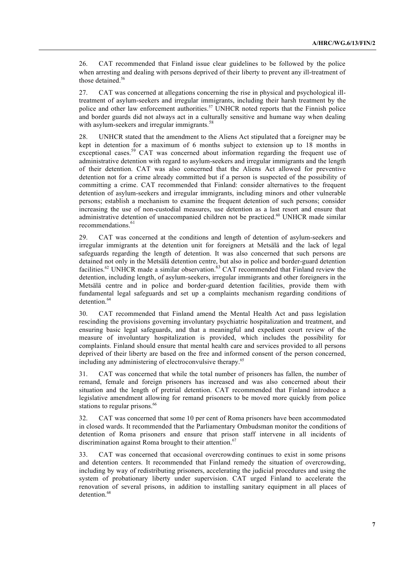26. CAT recommended that Finland issue clear guidelines to be followed by the police when arresting and dealing with persons deprived of their liberty to prevent any ill-treatment of those detained.<sup>56</sup>

27. CAT was concerned at allegations concerning the rise in physical and psychological illtreatment of asylum-seekers and irregular immigrants, including their harsh treatment by the police and other law enforcement authorities.<sup>57</sup> UNHCR noted reports that the Finnish police and border guards did not always act in a culturally sensitive and humane way when dealing with asylum-seekers and irregular immigrants.<sup>58</sup>

28. UNHCR stated that the amendment to the Aliens Act stipulated that a foreigner may be kept in detention for a maximum of 6 months subject to extension up to 18 months in exceptional cases.<sup>59</sup> CAT was concerned about information regarding the frequent use of administrative detention with regard to asylum-seekers and irregular immigrants and the length of their detention. CAT was also concerned that the Aliens Act allowed for preventive detention not for a crime already committed but if a person is suspected of the possibility of committing a crime. CAT recommended that Finland: consider alternatives to the frequent detention of asylum-seekers and irregular immigrants, including minors and other vulnerable persons; establish a mechanism to examine the frequent detention of such persons; consider increasing the use of non-custodial measures, use detention as a last resort and ensure that administrative detention of unaccompanied children not be practiced.<sup>60</sup> UNHCR made similar recommendations. 61

29. CAT was concerned at the conditions and length of detention of asylum-seekers and irregular immigrants at the detention unit for foreigners at Metsälä and the lack of legal safeguards regarding the length of detention. It was also concerned that such persons are detained not only in the Metsälä detention centre, but also in police and border-guard detention facilities.<sup>62</sup> UNHCR made a similar observation.<sup>63</sup> CAT recommended that Finland review the detention, including length, of asylum-seekers, irregular immigrants and other foreigners in the Metsälä centre and in police and border-guard detention facilities, provide them with fundamental legal safeguards and set up a complaints mechanism regarding conditions of detention.<sup>64</sup>

30. CAT recommended that Finland amend the Mental Health Act and pass legislation rescinding the provisions governing involuntary psychiatric hospitalization and treatment, and ensuring basic legal safeguards, and that a meaningful and expedient court review of the measure of involuntary hospitalization is provided, which includes the possibility for complaints. Finland should ensure that mental health care and services provided to all persons deprived of their liberty are based on the free and informed consent of the person concerned, including any administering of electroconvulsive therapy.<sup>65</sup>

31. CAT was concerned that while the total number of prisoners has fallen, the number of remand, female and foreign prisoners has increased and was also concerned about their situation and the length of pretrial detention. CAT recommended that Finland introduce a legislative amendment allowing for remand prisoners to be moved more quickly from police stations to regular prisons.<sup>66</sup>

32. CAT was concerned that some 10 per cent of Roma prisoners have been accommodated in closed wards. It recommended that the Parliamentary Ombudsman monitor the conditions of detention of Roma prisoners and ensure that prison staff intervene in all incidents of discrimination against Roma brought to their attention. $67$ 

33. CAT was concerned that occasional overcrowding continues to exist in some prisons and detention centers. It recommended that Finland remedy the situation of overcrowding, including by way of redistributing prisoners, accelerating the judicial procedures and using the system of probationary liberty under supervision. CAT urged Finland to accelerate the renovation of several prisons, in addition to installing sanitary equipment in all places of detention<sup>68</sup>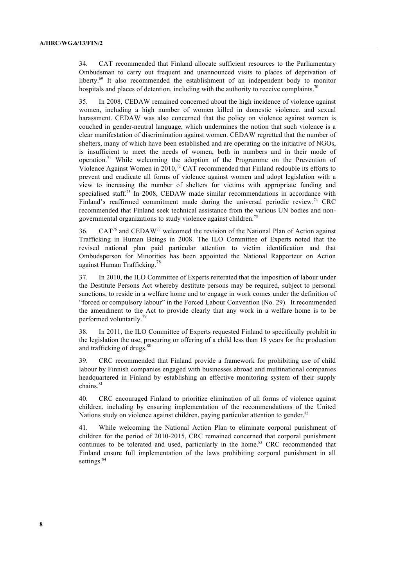34. CAT recommended that Finland allocate sufficient resources to the Parliamentary Ombudsman to carry out frequent and unannounced visits to places of deprivation of liberty.69 It also recommended the establishment of an independent body to monitor hospitals and places of detention, including with the authority to receive complaints.<sup>70</sup>

35. In 2008, CEDAW remained concerned about the high incidence of violence against women, including a high number of women killed in domestic violence. and sexual harassment. CEDAW was also concerned that the policy on violence against women is couched in gender-neutral language, which undermines the notion that such violence is a clear manifestation of discrimination against women. CEDAW regretted that the number of shelters, many of which have been established and are operating on the initiative of NGOs, is insufficient to meet the needs of women, both in numbers and in their mode of operation.<sup>71</sup> While welcoming the adoption of the Programme on the Prevention of Violence Against Women in 2010,<sup>72</sup> CAT recommended that Finland redouble its efforts to prevent and eradicate all forms of violence against women and adopt legislation with a view to increasing the number of shelters for victims with appropriate funding and specialised staff.73 In 2008, CEDAW made similar recommendations in accordance with Finland's reaffirmed commitment made during the universal periodic review.<sup>74</sup> CRC recommended that Finland seek technical assistance from the various UN bodies and nongovernmental organizations to study violence against children.<sup>75</sup>

36.  $CAT<sup>76</sup>$  and CEDAW<sup>77</sup> welcomed the revision of the National Plan of Action against Trafficking in Human Beings in 2008. The ILO Committee of Experts noted that the revised national plan paid particular attention to victim identification and that Ombudsperson for Minorities has been appointed the National Rapporteur on Action against Human Trafficking.<sup>78</sup>

37. In 2010, the ILO Committee of Experts reiterated that the imposition of labour under the Destitute Persons Act whereby destitute persons may be required, subject to personal sanctions, to reside in a welfare home and to engage in work comes under the definition of "forced or compulsory labour" in the Forced Labour Convention (No. 29). It recommended the amendment to the Act to provide clearly that any work in a welfare home is to be performed voluntarily.79

38. In 2011, the ILO Committee of Experts requested Finland to specifically prohibit in the legislation the use, procuring or offering of a child less than 18 years for the production and trafficking of drugs.<sup>80</sup>

39. CRC recommended that Finland provide a framework for prohibiting use of child labour by Finnish companies engaged with businesses abroad and multinational companies headquartered in Finland by establishing an effective monitoring system of their supply chains.<sup>81</sup>

40. CRC encouraged Finland to prioritize elimination of all forms of violence against children, including by ensuring implementation of the recommendations of the United Nations study on violence against children, paying particular attention to gender.<sup>82</sup>

41. While welcoming the National Action Plan to eliminate corporal punishment of children for the period of 2010-2015, CRC remained concerned that corporal punishment continues to be tolerated and used, particularly in the home.<sup>83</sup> CRC recommended that Finland ensure full implementation of the laws prohibiting corporal punishment in all settings.<sup>84</sup>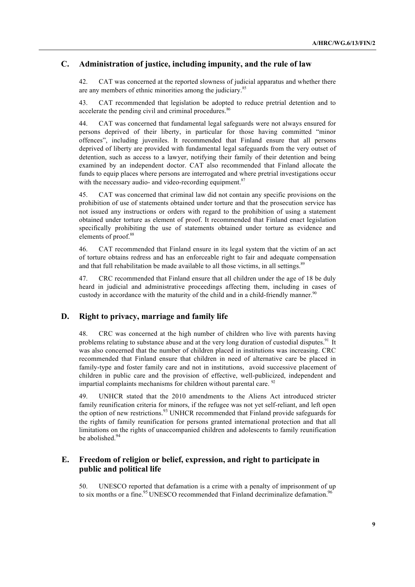# **C. Administration of justice, including impunity, and the rule of law**

42. CAT was concerned at the reported slowness of judicial apparatus and whether there are any members of ethnic minorities among the judiciary.<sup>85</sup>

43. CAT recommended that legislation be adopted to reduce pretrial detention and to accelerate the pending civil and criminal procedures.<sup>86</sup>

44. CAT was concerned that fundamental legal safeguards were not always ensured for persons deprived of their liberty, in particular for those having committed "minor offences", including juveniles. It recommended that Finland ensure that all persons deprived of liberty are provided with fundamental legal safeguards from the very outset of detention, such as access to a lawyer, notifying their family of their detention and being examined by an independent doctor. CAT also recommended that Finland allocate the funds to equip places where persons are interrogated and where pretrial investigations occur with the necessary audio- and video-recording equipment.<sup>87</sup>

45. CAT was concerned that criminal law did not contain any specific provisions on the prohibition of use of statements obtained under torture and that the prosecution service has not issued any instructions or orders with regard to the prohibition of using a statement obtained under torture as element of proof. It recommended that Finland enact legislation specifically prohibiting the use of statements obtained under torture as evidence and elements of proof.<sup>88</sup>

46. CAT recommended that Finland ensure in its legal system that the victim of an act of torture obtains redress and has an enforceable right to fair and adequate compensation and that full rehabilitation be made available to all those victims, in all settings.<sup>89</sup>

47. CRC recommended that Finland ensure that all children under the age of 18 be duly heard in judicial and administrative proceedings affecting them, including in cases of custody in accordance with the maturity of the child and in a child-friendly manner.<sup>90</sup>

#### **D. Right to privacy, marriage and family life**

48. CRC was concerned at the high number of children who live with parents having problems relating to substance abuse and at the very long duration of custodial disputes.<sup>91</sup> It was also concerned that the number of children placed in institutions was increasing. CRC recommended that Finland ensure that children in need of alternative care be placed in family-type and foster family care and not in institutions, avoid successive placement of children in public care and the provision of effective, well-publicized, independent and impartial complaints mechanisms for children without parental care. <sup>92</sup>

49. UNHCR stated that the 2010 amendments to the Aliens Act introduced stricter family reunification criteria for minors, if the refugee was not yet self-reliant, and left open the option of new restrictions.<sup>93</sup> UNHCR recommended that Finland provide safeguards for the rights of family reunification for persons granted international protection and that all limitations on the rights of unaccompanied children and adolescents to family reunification be abolished.<sup>94</sup>

#### **E. Freedom of religion or belief, expression, and right to participate in public and political life**

50. UNESCO reported that defamation is a crime with a penalty of imprisonment of up to six months or a fine.<sup>95</sup> UNESCO recommended that Finland decriminalize defamation.<sup>96</sup>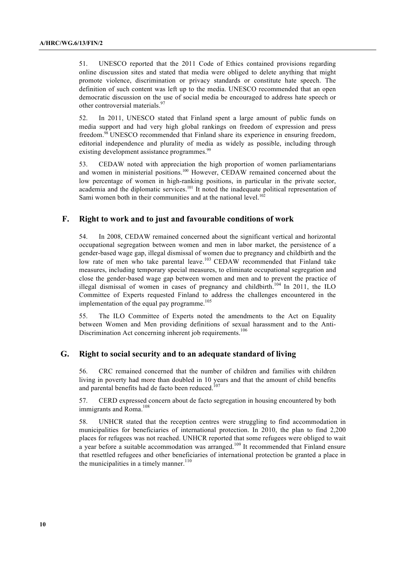51. UNESCO reported that the 2011 Code of Ethics contained provisions regarding online discussion sites and stated that media were obliged to delete anything that might promote violence, discrimination or privacy standards or constitute hate speech. The definition of such content was left up to the media. UNESCO recommended that an open democratic discussion on the use of social media be encouraged to address hate speech or other controversial materials.<sup>97</sup>

52. In 2011, UNESCO stated that Finland spent a large amount of public funds on media support and had very high global rankings on freedom of expression and press freedom.<sup>98</sup> UNESCO recommended that Finland share its experience in ensuring freedom, editorial independence and plurality of media as widely as possible, including through existing development assistance programmes.<sup>99</sup>

53. CEDAW noted with appreciation the high proportion of women parliamentarians and women in ministerial positions.<sup>100</sup> However, CEDAW remained concerned about the low percentage of women in high-ranking positions, in particular in the private sector, academia and the diplomatic services.<sup>101</sup> It noted the inadequate political representation of Sami women both in their communities and at the national level.<sup>102</sup>

#### **F. Right to work and to just and favourable conditions of work**

54. In 2008, CEDAW remained concerned about the significant vertical and horizontal occupational segregation between women and men in labor market, the persistence of a gender-based wage gap, illegal dismissal of women due to pregnancy and childbirth and the low rate of men who take parental leave.<sup>103</sup> CEDAW recommended that Finland take measures, including temporary special measures, to eliminate occupational segregation and close the gender-based wage gap between women and men and to prevent the practice of illegal dismissal of women in cases of pregnancy and childbirth.<sup>104</sup> In 2011, the ILO Committee of Experts requested Finland to address the challenges encountered in the implementation of the equal pay programme.<sup>105</sup>

55. The ILO Committee of Experts noted the amendments to the Act on Equality between Women and Men providing definitions of sexual harassment and to the Anti-Discrimination Act concerning inherent job requirements.<sup>106</sup>

#### **G. Right to social security and to an adequate standard of living**

56. CRC remained concerned that the number of children and families with children living in poverty had more than doubled in 10 years and that the amount of child benefits and parental benefits had de facto been reduced.<sup>107</sup>

57. CERD expressed concern about de facto segregation in housing encountered by both immigrants and Roma.<sup>108</sup>

58. UNHCR stated that the reception centres were struggling to find accommodation in municipalities for beneficiaries of international protection. In 2010, the plan to find 2,200 places for refugees was not reached. UNHCR reported that some refugees were obliged to wait a year before a suitable accommodation was arranged.<sup>109</sup> It recommended that Finland ensure that resettled refugees and other beneficiaries of international protection be granted a place in the municipalities in a timely manner. $110$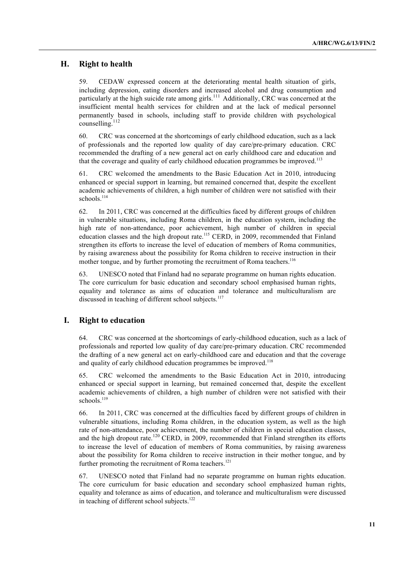# **H. Right to health**

59. CEDAW expressed concern at the deteriorating mental health situation of girls, including depression, eating disorders and increased alcohol and drug consumption and particularly at the high suicide rate among girls.<sup>111</sup> Additionally, CRC was concerned at the insufficient mental health services for children and at the lack of medical personnel permanently based in schools, including staff to provide children with psychological counselling. 112

60. CRC was concerned at the shortcomings of early childhood education, such as a lack of professionals and the reported low quality of day care/pre-primary education. CRC recommended the drafting of a new general act on early childhood care and education and that the coverage and quality of early childhood education programmes be improved.<sup>113</sup>

61. CRC welcomed the amendments to the Basic Education Act in 2010, introducing enhanced or special support in learning, but remained concerned that, despite the excellent academic achievements of children, a high number of children were not satisfied with their schools.<sup>114</sup>

62. In 2011, CRC was concerned at the difficulties faced by different groups of children in vulnerable situations, including Roma children, in the education system, including the high rate of non-attendance, poor achievement, high number of children in special education classes and the high dropout rate.<sup>115</sup> CERD, in 2009, recommended that Finland strengthen its efforts to increase the level of education of members of Roma communities, by raising awareness about the possibility for Roma children to receive instruction in their mother tongue, and by further promoting the recruitment of Roma teachers.<sup>116</sup>

63. UNESCO noted that Finland had no separate programme on human rights education. The core curriculum for basic education and secondary school emphasised human rights, equality and tolerance as aims of education and tolerance and multiculturalism are discussed in teaching of different school subjects.<sup>117</sup>

#### **I. Right to education**

64. CRC was concerned at the shortcomings of early-childhood education, such as a lack of professionals and reported low quality of day care/pre-primary education. CRC recommended the drafting of a new general act on early-childhood care and education and that the coverage and quality of early childhood education programmes be improved.<sup>118</sup>

65. CRC welcomed the amendments to the Basic Education Act in 2010, introducing enhanced or special support in learning, but remained concerned that, despite the excellent academic achievements of children, a high number of children were not satisfied with their schools.<sup>119</sup>

66. In 2011, CRC was concerned at the difficulties faced by different groups of children in vulnerable situations, including Roma children, in the education system, as well as the high rate of non-attendance, poor achievement, the number of children in special education classes, and the high dropout rate.<sup>120</sup> CERD, in 2009, recommended that Finland strengthen its efforts to increase the level of education of members of Roma communities, by raising awareness about the possibility for Roma children to receive instruction in their mother tongue, and by further promoting the recruitment of Roma teachers.<sup>121</sup>

67. UNESCO noted that Finland had no separate programme on human rights education. The core curriculum for basic education and secondary school emphasized human rights, equality and tolerance as aims of education, and tolerance and multiculturalism were discussed in teaching of different school subjects.<sup>122</sup>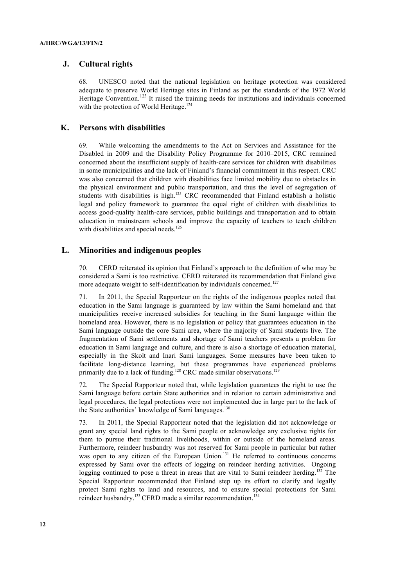# **J. Cultural rights**

68. UNESCO noted that the national legislation on heritage protection was considered adequate to preserve World Heritage sites in Finland as per the standards of the 1972 World Heritage Convention.<sup>123</sup> It raised the training needs for institutions and individuals concerned with the protection of World Heritage.<sup>124</sup>

### **K. Persons with disabilities**

69. While welcoming the amendments to the Act on Services and Assistance for the Disabled in 2009 and the Disability Policy Programme for 2010–2015, CRC remained concerned about the insufficient supply of health-care services for children with disabilities in some municipalities and the lack of Finland's financial commitment in this respect. CRC was also concerned that children with disabilities face limited mobility due to obstacles in the physical environment and public transportation, and thus the level of segregation of students with disabilities is high.<sup>125</sup> CRC recommended that Finland establish a holistic legal and policy framework to guarantee the equal right of children with disabilities to access good-quality health-care services, public buildings and transportation and to obtain education in mainstream schools and improve the capacity of teachers to teach children with disabilities and special needs.<sup>126</sup>

# **L. Minorities and indigenous peoples**

70. CERD reiterated its opinion that Finland's approach to the definition of who may be considered a Sami is too restrictive. CERD reiterated its recommendation that Finland give more adequate weight to self-identification by individuals concerned.<sup>127</sup>

71. In 2011, the Special Rapporteur on the rights of the indigenous peoples noted that education in the Sami language is guaranteed by law within the Sami homeland and that municipalities receive increased subsidies for teaching in the Sami language within the homeland area. However, there is no legislation or policy that guarantees education in the Sami language outside the core Sami area, where the majority of Sami students live. The fragmentation of Sami settlements and shortage of Sami teachers presents a problem for education in Sami language and culture, and there is also a shortage of education material, especially in the Skolt and Inari Sami languages. Some measures have been taken to facilitate long-distance learning, but these programmes have experienced problems primarily due to a lack of funding.<sup>128</sup> CRC made similar observations.<sup>129</sup>

72. The Special Rapporteur noted that, while legislation guarantees the right to use the Sami language before certain State authorities and in relation to certain administrative and legal procedures, the legal protections were not implemented due in large part to the lack of the State authorities' knowledge of Sami languages.<sup>130</sup>

73. In 2011, the Special Rapporteur noted that the legislation did not acknowledge or grant any special land rights to the Sami people or acknowledge any exclusive rights for them to pursue their traditional livelihoods, within or outside of the homeland areas. Furthermore, reindeer husbandry was not reserved for Sami people in particular but rather was open to any citizen of the European Union.<sup>131</sup> He referred to continuous concerns expressed by Sami over the effects of logging on reindeer herding activities. Ongoing logging continued to pose a threat in areas that are vital to Sami reindeer herding.<sup>132</sup> The Special Rapporteur recommended that Finland step up its effort to clarify and legally protect Sami rights to land and resources, and to ensure special protections for Sami reindeer husbandry.<sup>133</sup> CERD made a similar recommendation.<sup>134</sup>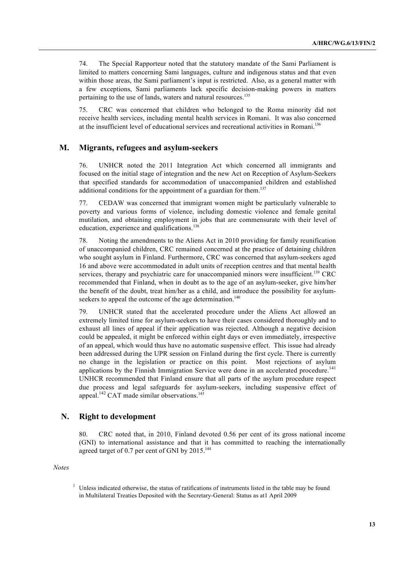74. The Special Rapporteur noted that the statutory mandate of the Sami Parliament is limited to matters concerning Sami languages, culture and indigenous status and that even within those areas, the Sami parliament's input is restricted. Also, as a general matter with a few exceptions, Sami parliaments lack specific decision-making powers in matters pertaining to the use of lands, waters and natural resources.<sup>135</sup>

75. CRC was concerned that children who belonged to the Roma minority did not receive health services, including mental health services in Romani. It was also concerned at the insufficient level of educational services and recreational activities in Romani.<sup>136</sup>

#### **M. Migrants, refugees and asylum-seekers**

76. UNHCR noted the 2011 Integration Act which concerned all immigrants and focused on the initial stage of integration and the new Act on Reception of Asylum-Seekers that specified standards for accommodation of unaccompanied children and established additional conditions for the appointment of a guardian for them.<sup>137</sup>

77. CEDAW was concerned that immigrant women might be particularly vulnerable to poverty and various forms of violence, including domestic violence and female genital mutilation, and obtaining employment in jobs that are commensurate with their level of education, experience and qualifications.<sup>138</sup>

78. Noting the amendments to the Aliens Act in 2010 providing for family reunification of unaccompanied children, CRC remained concerned at the practice of detaining children who sought asylum in Finland. Furthermore, CRC was concerned that asylum-seekers aged 16 and above were accommodated in adult units of reception centres and that mental health services, therapy and psychiatric care for unaccompanied minors were insufficient.<sup>139</sup> CRC recommended that Finland, when in doubt as to the age of an asylum-seeker, give him/her the benefit of the doubt, treat him/her as a child, and introduce the possibility for asylumseekers to appeal the outcome of the age determination.<sup>140</sup>

79. UNHCR stated that the accelerated procedure under the Aliens Act allowed an extremely limited time for asylum-seekers to have their cases considered thoroughly and to exhaust all lines of appeal if their application was rejected. Although a negative decision could be appealed, it might be enforced within eight days or even immediately, irrespective of an appeal, which would thus have no automatic suspensive effect. This issue had already been addressed during the UPR session on Finland during the first cycle. There is currently no change in the legislation or practice on this point. Most rejections of asylum applications by the Finnish Immigration Service were done in an accelerated procedure.<sup>141</sup> UNHCR recommended that Finland ensure that all parts of the asylum procedure respect due process and legal safeguards for asylum-seekers, including suspensive effect of appeal.<sup>142</sup> CAT made similar observations.<sup>143</sup>

#### **N. Right to development**

80. CRC noted that, in 2010, Finland devoted 0.56 per cent of its gross national income (GNI) to international assistance and that it has committed to reaching the internationally agreed target of 0.7 per cent of GNI by 2015.<sup>144</sup>

*Notes*

 $1$  Unless indicated otherwise, the status of ratifications of instruments listed in the table may be found in Multilateral Treaties Deposited with the Secretary-General: Status as at1 April 2009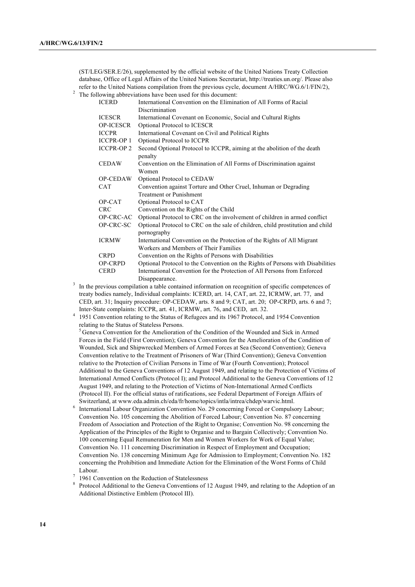(ST/LEG/SER.E/26), supplemented by the official website of the United Nations Treaty Collection database, Office of Legal Affairs of the United Nations Secretariat, http://treaties.un.org/. Please also refer to the United Nations compilation from the previous cycle, document A/HRC/WG.6/1/FIN/2),

<sup>2</sup> The following abbreviations have been used for this document:

| <b>ICERD</b>      | International Convention on the Elimination of All Forms of Racial             |
|-------------------|--------------------------------------------------------------------------------|
|                   | Discrimination                                                                 |
| <b>ICESCR</b>     | International Covenant on Economic, Social and Cultural Rights                 |
| <b>OP-ICESCR</b>  | Optional Protocol to ICESCR                                                    |
| <b>ICCPR</b>      | International Covenant on Civil and Political Rights                           |
| <b>ICCPR-OP 1</b> | Optional Protocol to ICCPR                                                     |
| <b>ICCPR-OP 2</b> | Second Optional Protocol to ICCPR, aiming at the abolition of the death        |
|                   | penalty                                                                        |
| <b>CEDAW</b>      | Convention on the Elimination of All Forms of Discrimination against           |
|                   | Women                                                                          |
| <b>OP-CEDAW</b>   | Optional Protocol to CEDAW                                                     |
| <b>CAT</b>        | Convention against Torture and Other Cruel, Inhuman or Degrading               |
|                   | <b>Treatment or Punishment</b>                                                 |
| OP-CAT            | Optional Protocol to CAT                                                       |
| <b>CRC</b>        | Convention on the Rights of the Child                                          |
| OP-CRC-AC         | Optional Protocol to CRC on the involvement of children in armed conflict      |
| OP-CRC-SC         | Optional Protocol to CRC on the sale of children, child prostitution and child |
|                   | pornography                                                                    |
| <b>ICRMW</b>      | International Convention on the Protection of the Rights of All Migrant        |
|                   | Workers and Members of Their Families                                          |
| <b>CRPD</b>       | Convention on the Rights of Persons with Disabilities                          |
| <b>OP-CRPD</b>    | Optional Protocol to the Convention on the Rights of Persons with Disabilities |
| <b>CERD</b>       | International Convention for the Protection of All Persons from Enforced       |
|                   | Disappearance.                                                                 |

- <sup>3</sup> In the previous compilation a table contained information on recognition of specific competences of treaty bodies namely, Individual complaints: ICERD, art. 14, CAT, art. 22, ICRMW, art. 77, and CED, art. 31; Inquiry procedure: OP-CEDAW, arts. 8 and 9; CAT, art. 20; OP-CRPD, arts. 6 and 7;
- Inter-State complaints: ICCPR, art. 41, ICRMW, art. 76, and CED, art. 32. 4 1951 Convention relating to the Status of Refugees and its 1967 Protocol, and 1954 Convention relating to the Status of Stateless Persons.

<sup>5</sup> Geneva Convention for the Amelioration of the Condition of the Wounded and Sick in Armed Forces in the Field (First Convention); Geneva Convention for the Amelioration of the Condition of Wounded, Sick and Shipwrecked Members of Armed Forces at Sea (Second Convention); Geneva Convention relative to the Treatment of Prisoners of War (Third Convention); Geneva Convention relative to the Protection of Civilian Persons in Time of War (Fourth Convention); Protocol Additional to the Geneva Conventions of 12 August 1949, and relating to the Protection of Victims of International Armed Conflicts (Protocol I); and Protocol Additional to the Geneva Conventions of 12 August 1949, and relating to the Protection of Victims of Non-International Armed Conflicts (Protocol II). For the official status of ratifications, see Federal Department of Foreign Affairs of Switzerland, at www.eda.admin.ch/eda/fr/home/topics/intla/intrea/chdep/warvic.html.

- <sup>6</sup> International Labour Organization Convention No. 29 concerning Forced or Compulsory Labour; Convention No. 105 concerning the Abolition of Forced Labour; Convention No. 87 concerning Freedom of Association and Protection of the Right to Organise; Convention No. 98 concerning the Application of the Principles of the Right to Organise and to Bargain Collectively; Convention No. 100 concerning Equal Remuneration for Men and Women Workers for Work of Equal Value; Convention No. 111 concerning Discrimination in Respect of Employment and Occupation; Convention No. 138 concerning Minimum Age for Admission to Employment; Convention No. 182 concerning the Prohibition and Immediate Action for the Elimination of the Worst Forms of Child Labour.
- 1961 Convention on the Reduction of Statelessness
- <sup>8</sup> Protocol Additional to the Geneva Conventions of 12 August 1949, and relating to the Adoption of an Additional Distinctive Emblem (Protocol III).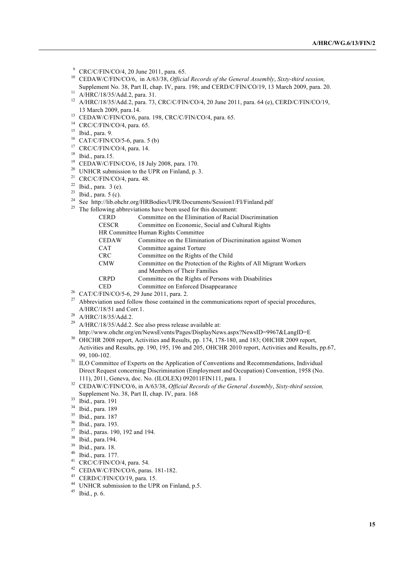- <sup>9</sup> CRC/C/FIN/CO/4, 20 June 2011, para. 65.
- <sup>10</sup> CEDAW/C/FIN/CO/6, in A/63/38, *Official Records of the General Assembly*, *Sixty-third session,*  Supplement No. 38, Part II, chap. IV, para. 198; and CERD/C/FIN/CO/19, 13 March 2009, para. 20.<br><sup>11</sup> A/HRC/18/35/Add.2, para. 31.
- 
- <sup>12</sup> A/HRC/18/35/Add.2, para. 73, CRC/C/FIN/CO/4, 20 June 2011, para. 64 (e), CERD/C/FIN/CO/19, 13 March 2009, para.14.
- <sup>13</sup> CEDAW/C/FIN/CO/6, para. 198, CRC/C/FIN/CO/4, para. 65.
- <sup>14</sup> CRC/C/FIN/CO/4, para. 65.
- $15$  Ibid., para. 9.
- $^{16}$  CAT/C/FIN/CO/5-6, para. 5 (b)
- $17$  CRC/C/FIN/CO/4, para. 14.
- <sup>18</sup> Ibid., para.15.
- <sup>19</sup> CEDAW/C/FIN/CO/6, 18 July 2008, para. 170.
- <sup>20</sup> UNHCR submission to the UPR on Finland, p. 3.<br><sup>21</sup> CRC/C/FIN/CO/4, para. 48.
- 
- $22$  Ibid., para. 3 (e).
- $23$  Ibid., para. 5 (c).
- <sup>24</sup> See http://lib.ohchr.org/HRBodies/UPR/Documents/Session1/FI/Finland.pdf
- $^{25}$  The following abbreviations have been used for this document:

| CERD  | Committee on the Elimination of Racial Discrimination              |
|-------|--------------------------------------------------------------------|
| CESCR | Committee on Economic, Social and Cultural Rights                  |
|       | <b>HR Committee Human Rights Committee</b>                         |
| CEDAW | Committee on the Elimination of Discrimination against Women       |
| CAT   | Committee against Torture                                          |
| CRC-  | Committee on the Rights of the Child                               |
| CMW   | Committee on the Protection of the Rights of All Migrant Workers   |
|       | and Members of Their Families                                      |
| CRPD  | Committee on the Rights of Persons with Disabilities               |
| CED   | Committee on Enforced Disappearance                                |
|       | $T_{\rm EIMI}/C_{\rm O}/E$ ( 20 L $_{\rm max}$ 2011 $_{\rm max}$ 2 |

- <sup>26</sup> CAT/C/FIN/CO/5-6, 29 June 2011, para. 2.
- <sup>27</sup> Abbreviation used follow those contained in the communications report of special procedures, A/HRC/18/51 and Corr.1.
- <sup>28</sup> A/HRC/18/35/Add.2.
- <sup>29</sup> A/HRC/18/35/Add.2. See also press release available at:

- http://www.ohchr.org/en/NewsEvents/Pages/DisplayNews.aspx?NewsID=9967&LangID=E 30 OHCHR 2008 report, Activities and Results, pp. 174, 178-180, and 183; OHCHR 2009 report, Activities and Results, pp. 190, 195, 196 and 205, OHCHR 2010 report, Activities and Results, pp.67, 99, 100-102.
- <sup>31</sup> ILO Committee of Experts on the Application of Conventions and Recommendations, Individual Direct Request concerning Discrimination (Employment and Occupation) Convention, 1958 (No. 111), 2011, Geneva, doc. No. (ILOLEX) 092011FIN111, para. 1
- <sup>32</sup> CEDAW/C/FIN/CO/6, in A/63/38, *Official Records of the General Assembly*, *Sixty-third session,*  Supplement No. 38, Part II, chap. IV, para. 168
- <sup>33</sup> Ibid., para. 191
- <sup>34</sup> Ibid., para. 189
- <sup>35</sup> Ibid., para. 187
- $36$  Ibid., para. 193.
- $\frac{37}{38}$  Ibid., paras. 190, 192 and 194.
- $38$  Ibid., para.194.
- 
- $39$  Ibid., para. 18. Ibid., para. 177.
- $41$  CRC/C/FIN/CO/4, para. 54.
- <sup>42</sup> CEDAW/C/FIN/CO/6, paras. 181-182.
- <sup>43</sup> CERD/C/FIN/CO/19, para. 15.
- <sup>44</sup> UNHCR submission to the UPR on Finland, p.5.
- <sup>45</sup> Ibid., p. 6.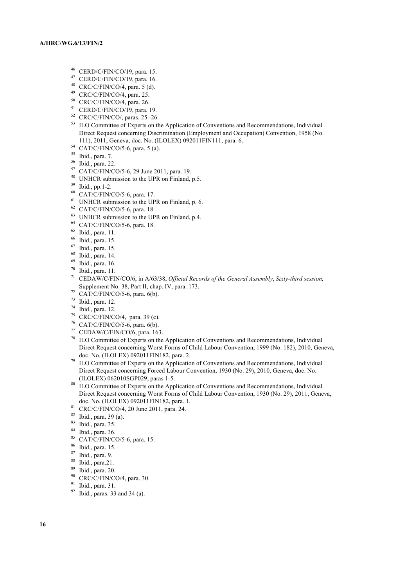- $^{46}$  CERD/C/FIN/CO/19, para. 15.
- <sup>47</sup> CERD/C/FIN/CO/19, para. 16.
- $CRC/C/FIN/CO/4$ , para. 5 (d).
- <sup>49</sup> CRC/C/FIN/CO/4, para. 25.
- <sup>50</sup> CRC/C/FIN/CO/4, para. 26.
- <sup>51</sup> CERD/C/FIN/CO/19, para. 19.
- <sup>52</sup> CRC/C/FIN/CO/, paras. 25 -26.
- <sup>53</sup> ILO Committee of Experts on the Application of Conventions and Recommendations, Individual Direct Request concerning Discrimination (Employment and Occupation) Convention, 1958 (No. 111), 2011, Geneva, doc. No. (ILOLEX) 092011FIN111, para. 6.
- <sup>54</sup> CAT/C/FIN/CO/5-6, para. 5 (a).
- <sup>55</sup> Ibid., para. 7.
- <sup>56</sup> Ibid., para. 22.
- <sup>57</sup> CAT/C/FIN/CO/5-6, 29 June 2011, para. 19.
- <sup>58</sup> UNHCR submission to the UPR on Finland, p.5.
- <sup>59</sup> Ibid., pp.1-2.
- <sup>60</sup> CAT/C/FIN/CO/5-6, para. 17.
- <sup>61</sup> UNHCR submission to the UPR on Finland, p. 6.<br><sup>62</sup> CAT/C/FIN/CO/5-6, para. 18.
- 
- <sup>63</sup> UNHCR submission to the UPR on Finland, p.4.
- <sup>64</sup> CAT/C/FIN/CO/5-6, para. 18.
- $^{65}$  Ibid., para. 11.
- $^{66}$  Ibid., para. 15.<br> $^{67}$  Ibid. para. 15
- $^{67}$  Ibid., para. 15.<br> $^{68}$  Ibid., para. 14.
- $^{68}$  Ibid., para. 14.
- Ibid., para. 16.
- $70$  Ibid., para. 11.
- <sup>71</sup> CEDAW/C/FIN/CO/6, in A/63/38, *Official Records of the General Assembly*, *Sixty-third session,*  Supplement No. 38, Part II, chap. IV, para. 173.
- $72$  CAT/C/FIN/CO/5-6, para. 6(b).
- <sup>73</sup> Ibid., para. 12.
- <sup>74</sup> Ibid., para. 12.
- <sup>75</sup> CRC/C/FIN/CO/4, para. 39 (c).
- <sup>76</sup> CAT/C/FIN/CO/5-6, para. 6(b).
- <sup>77</sup> CEDAW/C/FIN/CO/6, para. 163.
- <sup>78</sup> ILO Committee of Experts on the Application of Conventions and Recommendations, Individual Direct Request concerning Worst Forms of Child Labour Convention, 1999 (No. 182), 2010, Geneva, doc. No. (ILOLEX) 092011FIN182, para. 2.
- $79$  ILO Committee of Experts on the Application of Conventions and Recommendations, Individual Direct Request concerning Forced Labour Convention, 1930 (No. 29), 2010, Geneva, doc. No. (ILOLEX) 062010SGP029, paras 1-5.
- 80 ILO Committee of Experts on the Application of Conventions and Recommendations, Individual Direct Request concerning Worst Forms of Child Labour Convention, 1930 (No. 29), 2011, Geneva, doc. No. (ILOLEX) 092011FIN182, para. 1.
- <sup>81</sup> CRC/C/FIN/CO/4, 20 June 2011, para. 24.
- <sup>82</sup> Ibid., para. 39 (a).
- $\frac{83}{84}$  Ibid., para. 35.
- $\frac{84}{85}$  Ibid., para. 36.
- $^{85}$  CAT/C/FIN/CO/5-6, para. 15.<br> $^{86}$  Thid, para. 15.
- $\frac{86}{87}$  Ibid., para. 15.
- $\frac{87}{88}$  Ibid., para. 9.
- $\frac{88}{89}$  Ibid., para.21.
- $\frac{89}{90}$  Ibid., para. 20.
- CRC/C/FIN/CO/4, para. 30.
- <sup>91</sup> Ibid., para. 31.
- $92$  Ibid., paras. 33 and 34 (a).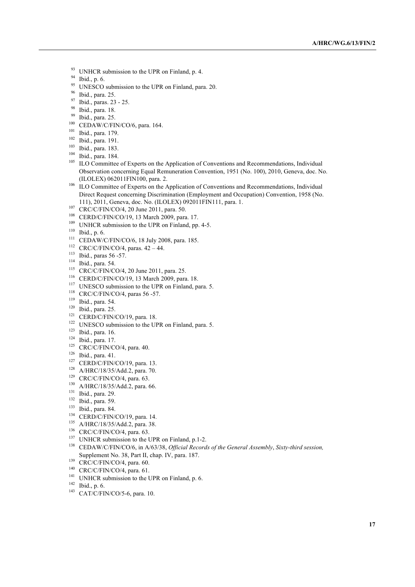- <sup>93</sup> UNHCR submission to the UPR on Finland, p. 4.<br><sup>94</sup> Uniden 6
- Ibid., p. 6.
- <sup>95</sup> UNESCO submission to the UPR on Finland, para. 20.
- $^{96}$  Ibid., para. 25.
- <sup>97</sup> Ibid., paras. 23 25.
- $^{98}$  Ibid., para. 18.
- $^{99}$  Ibid., para. 25.
- CEDAW/C/FIN/CO/6, para. 164.
- <sup>101</sup> Ibid., para. 179.
- <sup>102</sup> Ibid., para. 191.
- <sup>103</sup> Ibid., para. 183.
- <sup>104</sup> Ibid., para. 184.
- <sup>105</sup> ILO Committee of Experts on the Application of Conventions and Recommendations, Individual Observation concerning Equal Remuneration Convention, 1951 (No. 100), 2010, Geneva, doc. No. (ILOLEX) 062011FIN100, para. 2.
- <sup>106</sup> ILO Committee of Experts on the Application of Conventions and Recommendations, Individual Direct Request concerning Discrimination (Employment and Occupation) Convention, 1958 (No. 111), 2011, Geneva, doc. No. (ILOLEX) 092011FIN111, para. 1.
- <sup>107</sup> CRC/C/FIN/CO/4, 20 June 2011, para. 50.
- <sup>108</sup> CERD/C/FIN/CO/19, 13 March 2009, para. 17.
- <sup>109</sup> UNHCR submission to the UPR on Finland, pp. 4-5.
- <sup>110</sup> Ibid., p. 6.
- <sup>111</sup> CEDAW/C/FIN/CO/6, 18 July 2008, para. 185.
- $112$  CRC/C/FIN/CO/4, paras.  $42 44$ .
- <sup>113</sup> Ibid., paras 56 -57.
- <sup>114</sup> Ibid., para. 54.
- <sup>115</sup> CRC/C/FIN/CO/4, 20 June 2011, para. 25.
- <sup>116</sup> CERD/C/FIN/CO/19, 13 March 2009, para. 18.
- <sup>117</sup> UNESCO submission to the UPR on Finland, para. 5.
- <sup>118</sup> CRC/C/FIN/CO/4, paras 56 -57.
- <sup>119</sup> Ibid., para. 54.
- <sup>120</sup> Ibid., para. 25.
- <sup>121</sup> CERD/C/FIN/CO/19, para. 18.
- <sup>122</sup> UNESCO submission to the UPR on Finland, para. 5.
- <sup>123</sup> Ibid., para. 16.
- <sup>124</sup> Ibid., para. 17.
- $125$  CRC/C/FIN/CO/4, para. 40.
- <sup>126</sup> Ibid., para. 41.
- <sup>127</sup> CERD/C/FIN/CO/19, para. 13.
- <sup>128</sup> A/HRC/18/35/Add.2, para. 70.
- $129$  CRC/C/FIN/CO/4, para. 63.
- <sup>130</sup> A/HRC/18/35/Add.2, para. 66.
- <sup>131</sup> Ibid., para. 29.
- $132$  Ibid., para. 59.<br> $133$  Ibid., para. 84.
- 
- <sup>134</sup> CERD/C/FIN/CO/19, para. 14.
- <sup>135</sup> A/HRC/18/35/Add.2, para. 38.
- <sup>136</sup> CRC/C/FIN/CO/4, para. 63.
- <sup>137</sup> UNHCR submission to the UPR on Finland, p.1-2.
- <sup>138</sup> CEDAW/C/FIN/CO/6, in A/63/38, *Official Records of the General Assembly*, *Sixty-third session,*  Supplement No. 38, Part II, chap. IV, para. 187.
- <sup>139</sup> CRC/C/FIN/CO/4, para. 60.
- <sup>140</sup> CRC/C/FIN/CO/4, para. 61.
- <sup>141</sup> UNHCR submission to the UPR on Finland, p. 6.
- $142$  Ibid., p. 6.
- <sup>143</sup> CAT/C/FIN/CO/5-6, para. 10.